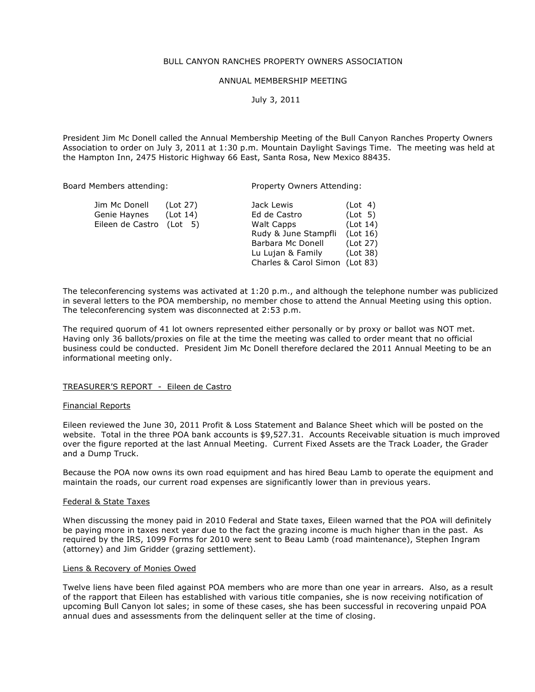## BULL CANYON RANCHES PROPERTY OWNERS ASSOCIATION

# ANNUAL MEMBERSHIP MEETING

July 3, 2011

President Jim Mc Donell called the Annual Membership Meeting of the Bull Canyon Ranches Property Owners Association to order on July 3, 2011 at 1:30 p.m. Mountain Daylight Savings Time. The meeting was held at the Hampton Inn, 2475 Historic Highway 66 East, Santa Rosa, New Mexico 88435.

Board Members attending: Property Owners Attending:

| Jim Mc Donell    | (Lot 27) | Jack Lewis                     | (Lot 4)  |
|------------------|----------|--------------------------------|----------|
| Genie Haynes     | (Lot 14) | Ed de Castro                   | (Lot 5)  |
| Eileen de Castro | (Lot 5)  | <b>Walt Capps</b>              | (Lot 14) |
|                  |          | Rudy & June Stampfli           | (Lot 16) |
|                  |          | Barbara Mc Donell              | (Lot 27) |
|                  |          | Lu Lujan & Family              | (Lot 38) |
|                  |          | Charles & Carol Simon (Lot 83) |          |
|                  |          |                                |          |

The teleconferencing systems was activated at 1:20 p.m., and although the telephone number was publicized in several letters to the POA membership, no member chose to attend the Annual Meeting using this option. The teleconferencing system was disconnected at 2:53 p.m.

The required quorum of 41 lot owners represented either personally or by proxy or ballot was NOT met. Having only 36 ballots/proxies on file at the time the meeting was called to order meant that no official business could be conducted. President Jim Mc Donell therefore declared the 2011 Annual Meeting to be an informational meeting only.

# TREASURER'S REPORT - Eileen de Castro

#### Financial Reports

Eileen reviewed the June 30, 2011 Profit & Loss Statement and Balance Sheet which will be posted on the website. Total in the three POA bank accounts is \$9,527.31. Accounts Receivable situation is much improved over the figure reported at the last Annual Meeting. Current Fixed Assets are the Track Loader, the Grader and a Dump Truck.

Because the POA now owns its own road equipment and has hired Beau Lamb to operate the equipment and maintain the roads, our current road expenses are significantly lower than in previous years.

#### Federal & State Taxes

When discussing the money paid in 2010 Federal and State taxes, Eileen warned that the POA will definitely be paying more in taxes next year due to the fact the grazing income is much higher than in the past. As required by the IRS, 1099 Forms for 2010 were sent to Beau Lamb (road maintenance), Stephen Ingram (attorney) and Jim Gridder (grazing settlement).

#### Liens & Recovery of Monies Owed

Twelve liens have been filed against POA members who are more than one year in arrears. Also, as a result of the rapport that Eileen has established with various title companies, she is now receiving notification of upcoming Bull Canyon lot sales; in some of these cases, she has been successful in recovering unpaid POA annual dues and assessments from the delinquent seller at the time of closing.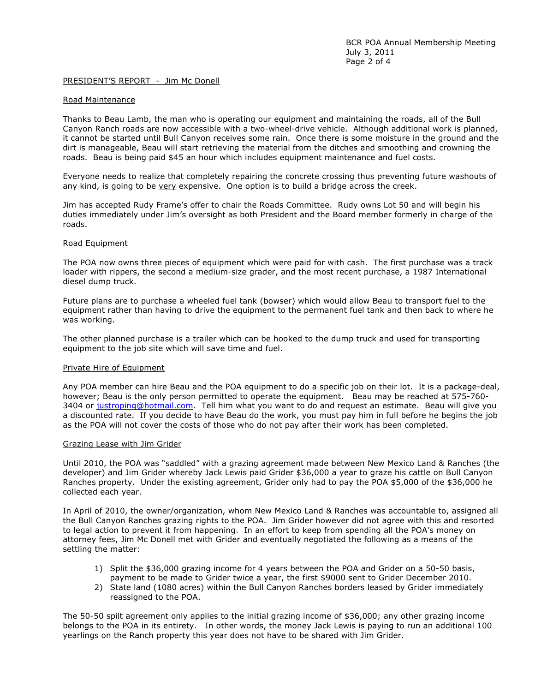## PRESIDENT'S REPORT - Jim Mc Donell

#### Road Maintenance

Thanks to Beau Lamb, the man who is operating our equipment and maintaining the roads, all of the Bull Canyon Ranch roads are now accessible with a two-wheel-drive vehicle. Although additional work is planned, it cannot be started until Bull Canyon receives some rain. Once there is some moisture in the ground and the dirt is manageable, Beau will start retrieving the material from the ditches and smoothing and crowning the roads. Beau is being paid \$45 an hour which includes equipment maintenance and fuel costs.

Everyone needs to realize that completely repairing the concrete crossing thus preventing future washouts of any kind, is going to be  $very expensive. One option is to build a bridge across the creek.$ </u>

Jim has accepted Rudy Frame's offer to chair the Roads Committee. Rudy owns Lot 50 and will begin his duties immediately under Jim's oversight as both President and the Board member formerly in charge of the roads.

#### Road Equipment

The POA now owns three pieces of equipment which were paid for with cash. The first purchase was a track loader with rippers, the second a medium-size grader, and the most recent purchase, a 1987 International diesel dump truck.

Future plans are to purchase a wheeled fuel tank (bowser) which would allow Beau to transport fuel to the equipment rather than having to drive the equipment to the permanent fuel tank and then back to where he was working.

The other planned purchase is a trailer which can be hooked to the dump truck and used for transporting equipment to the job site which will save time and fuel.

# Private Hire of Equipment

Any POA member can hire Beau and the POA equipment to do a specific job on their lot. It is a package-deal, however; Beau is the only person permitted to operate the equipment. Beau may be reached at 575-760- 3404 or justroping@hotmail.com. Tell him what you want to do and request an estimate. Beau will give you a discounted rate. If you decide to have Beau do the work, you must pay him in full before he begins the job as the POA will not cover the costs of those who do not pay after their work has been completed.

#### Grazing Lease with Jim Grider

Until 2010, the POA was "saddled" with a grazing agreement made between New Mexico Land & Ranches (the developer) and Jim Grider whereby Jack Lewis paid Grider \$36,000 a year to graze his cattle on Bull Canyon Ranches property. Under the existing agreement, Grider only had to pay the POA \$5,000 of the \$36,000 he collected each year.

In April of 2010, the owner/organization, whom New Mexico Land & Ranches was accountable to, assigned all the Bull Canyon Ranches grazing rights to the POA. Jim Grider however did not agree with this and resorted to legal action to prevent it from happening. In an effort to keep from spending all the POA's money on attorney fees, Jim Mc Donell met with Grider and eventually negotiated the following as a means of the settling the matter:

- 1) Split the \$36,000 grazing income for 4 years between the POA and Grider on a 50-50 basis, payment to be made to Grider twice a year, the first \$9000 sent to Grider December 2010.
- 2) State land (1080 acres) within the Bull Canyon Ranches borders leased by Grider immediately reassigned to the POA.

The 50-50 spilt agreement only applies to the initial grazing income of \$36,000; any other grazing income belongs to the POA in its entirety. In other words, the money Jack Lewis is paying to run an additional 100 yearlings on the Ranch property this year does not have to be shared with Jim Grider.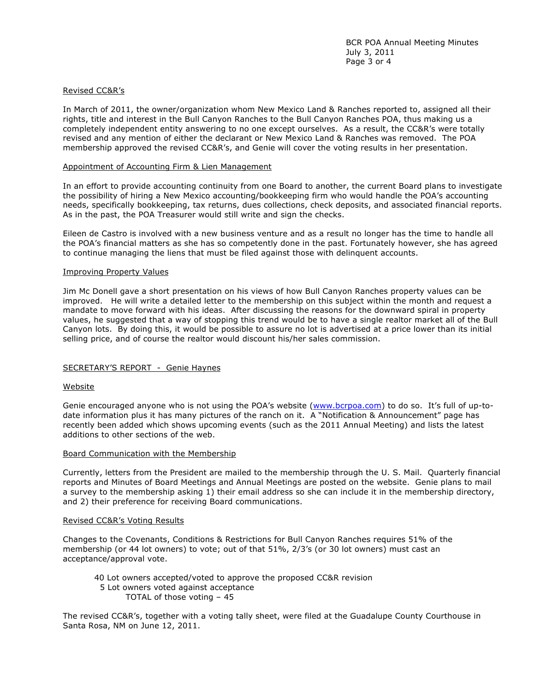# Revised CC&R's

In March of 2011, the owner/organization whom New Mexico Land & Ranches reported to, assigned all their rights, title and interest in the Bull Canyon Ranches to the Bull Canyon Ranches POA, thus making us a completely independent entity answering to no one except ourselves. As a result, the CC&R's were totally revised and any mention of either the declarant or New Mexico Land & Ranches was removed. The POA membership approved the revised CC&R's, and Genie will cover the voting results in her presentation.

#### Appointment of Accounting Firm & Lien Management

In an effort to provide accounting continuity from one Board to another, the current Board plans to investigate the possibility of hiring a New Mexico accounting/bookkeeping firm who would handle the POA's accounting needs, specifically bookkeeping, tax returns, dues collections, check deposits, and associated financial reports. As in the past, the POA Treasurer would still write and sign the checks.

Eileen de Castro is involved with a new business venture and as a result no longer has the time to handle all the POA's financial matters as she has so competently done in the past. Fortunately however, she has agreed to continue managing the liens that must be filed against those with delinquent accounts.

#### Improving Property Values

Jim Mc Donell gave a short presentation on his views of how Bull Canyon Ranches property values can be improved. He will write a detailed letter to the membership on this subject within the month and request a mandate to move forward with his ideas. After discussing the reasons for the downward spiral in property values, he suggested that a way of stopping this trend would be to have a single realtor market all of the Bull Canyon lots. By doing this, it would be possible to assure no lot is advertised at a price lower than its initial selling price, and of course the realtor would discount his/her sales commission.

# SECRETARY'S REPORT - Genie Haynes

#### Website

Genie encouraged anyone who is not using the POA's website (www.bcrpoa.com) to do so. It's full of up-todate information plus it has many pictures of the ranch on it. A "Notification & Announcement" page has recently been added which shows upcoming events (such as the 2011 Annual Meeting) and lists the latest additions to other sections of the web.

#### Board Communication with the Membership

Currently, letters from the President are mailed to the membership through the U. S. Mail. Quarterly financial reports and Minutes of Board Meetings and Annual Meetings are posted on the website. Genie plans to mail a survey to the membership asking 1) their email address so she can include it in the membership directory, and 2) their preference for receiving Board communications.

#### Revised CC&R's Voting Results

Changes to the Covenants, Conditions & Restrictions for Bull Canyon Ranches requires 51% of the membership (or 44 lot owners) to vote; out of that 51%, 2/3's (or 30 lot owners) must cast an acceptance/approval vote.

40 Lot owners accepted/voted to approve the proposed CC&R revision 5 Lot owners voted against acceptance TOTAL of those voting – 45

The revised CC&R's, together with a voting tally sheet, were filed at the Guadalupe County Courthouse in Santa Rosa, NM on June 12, 2011.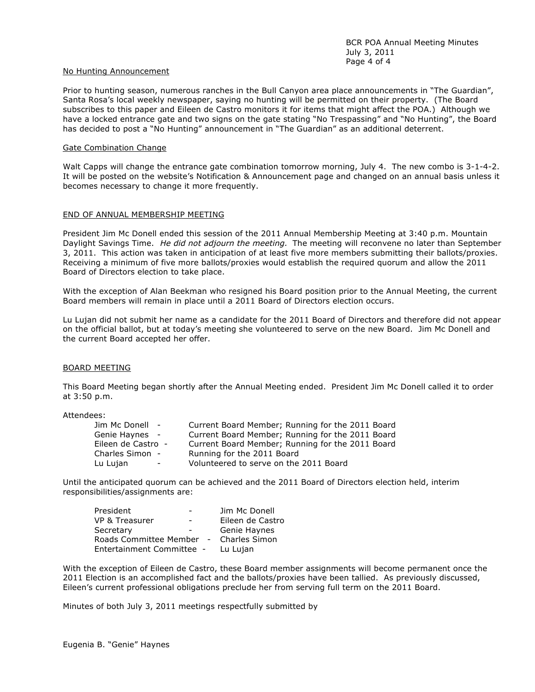#### No Hunting Announcement

Prior to hunting season, numerous ranches in the Bull Canyon area place announcements in "The Guardian", Santa Rosa's local weekly newspaper, saying no hunting will be permitted on their property. (The Board subscribes to this paper and Eileen de Castro monitors it for items that might affect the POA.) Although we have a locked entrance gate and two signs on the gate stating "No Trespassing" and "No Hunting", the Board has decided to post a "No Hunting" announcement in "The Guardian" as an additional deterrent.

## Gate Combination Change

Walt Capps will change the entrance gate combination tomorrow morning, July 4. The new combo is 3-1-4-2. It will be posted on the website's Notification & Announcement page and changed on an annual basis unless it becomes necessary to change it more frequently.

# END OF ANNUAL MEMBERSHIP MEETING

President Jim Mc Donell ended this session of the 2011 Annual Membership Meeting at 3:40 p.m. Mountain Daylight Savings Time. He did not adjourn the meeting. The meeting will reconvene no later than September 3, 2011. This action was taken in anticipation of at least five more members submitting their ballots/proxies. Receiving a minimum of five more ballots/proxies would establish the required quorum and allow the 2011 Board of Directors election to take place.

With the exception of Alan Beekman who resigned his Board position prior to the Annual Meeting, the current Board members will remain in place until a 2011 Board of Directors election occurs.

Lu Lujan did not submit her name as a candidate for the 2011 Board of Directors and therefore did not appear on the official ballot, but at today's meeting she volunteered to serve on the new Board. Jim Mc Donell and the current Board accepted her offer.

# BOARD MEETING

This Board Meeting began shortly after the Annual Meeting ended. President Jim Mc Donell called it to order at 3:50 p.m.

Attendees:

| Jim Mc Donell -                      | Current Board Member; Running for the 2011 Board |
|--------------------------------------|--------------------------------------------------|
| Genie Haynes -                       | Current Board Member; Running for the 2011 Board |
| Eileen de Castro -                   | Current Board Member; Running for the 2011 Board |
| Charles Simon -                      | Running for the 2011 Board                       |
| Lu Lujan<br>$\overline{\phantom{0}}$ | Volunteered to serve on the 2011 Board           |

Until the anticipated quorum can be achieved and the 2011 Board of Directors election held, interim responsibilities/assignments are:

| President                 |               | Jim Mc Donell    |
|---------------------------|---------------|------------------|
| VP & Treasurer            |               | Eileen de Castro |
| Secretary                 |               | Genie Haynes     |
| Roads Committee Member -  | Charles Simon |                  |
| Entertainment Committee - | Lu Lujan      |                  |

With the exception of Eileen de Castro, these Board member assignments will become permanent once the 2011 Election is an accomplished fact and the ballots/proxies have been tallied. As previously discussed, Eileen's current professional obligations preclude her from serving full term on the 2011 Board.

Minutes of both July 3, 2011 meetings respectfully submitted by